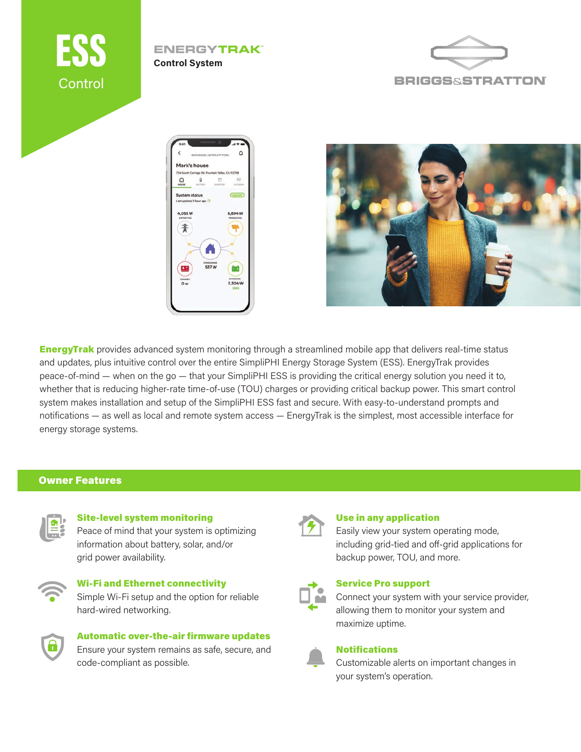

## **ENERGYTRAK™ Control System**







**EnergyTrak** provides advanced system monitoring through a streamlined mobile app that delivers real-time status and updates, plus intuitive control over the entire SimpliPHI Energy Storage System (ESS). EnergyTrak provides peace-of-mind — when on the go — that your SimpliPHI ESS is providing the critical energy solution you need it to, whether that is reducing higher-rate time-of-use (TOU) charges or providing critical backup power. This smart control system makes installation and setup of the SimpliPHI ESS fast and secure. With easy-to-understand prompts and notifications — as well as local and remote system access — EnergyTrak is the simplest, most accessible interface for energy storage systems.

# Owner Features



#### Site-level system monitoring

Peace of mind that your system is optimizing information about battery, solar, and/or grid power availability.



# Wi-Fi and Ethernet connectivity

Simple Wi-Fi setup and the option for reliable hard-wired networking.



# Automatic over-the-air firmware updates Ensure your system remains as safe, secure, and code-compliant as possible.



### Use in any application

Easily view your system operating mode, including grid-tied and off-grid applications for backup power, TOU, and more.



#### Service Pro support

Connect your system with your service provider, allowing them to monitor your system and maximize uptime.



#### **Notifications**

Customizable alerts on important changes in your system's operation.